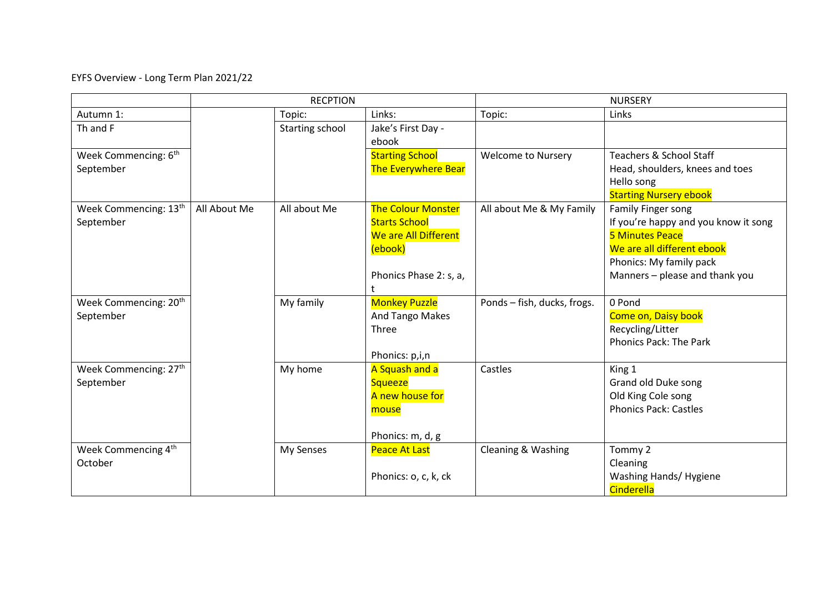EYFS Overview - Long Term Plan 2021/22

|                                                |              | <b>RECPTION</b> |                                                                                                                | <b>NURSERY</b>              |                                                                                                                                                                                 |  |
|------------------------------------------------|--------------|-----------------|----------------------------------------------------------------------------------------------------------------|-----------------------------|---------------------------------------------------------------------------------------------------------------------------------------------------------------------------------|--|
| Autumn 1:                                      |              | Topic:          | Links:                                                                                                         | Topic:                      | Links                                                                                                                                                                           |  |
| Th and F                                       |              | Starting school | Jake's First Day -<br>ebook                                                                                    |                             |                                                                                                                                                                                 |  |
| Week Commencing: 6 <sup>th</sup><br>September  |              |                 | <b>Starting School</b><br><b>The Everywhere Bear</b>                                                           | <b>Welcome to Nursery</b>   | Teachers & School Staff<br>Head, shoulders, knees and toes<br>Hello song<br><b>Starting Nursery ebook</b>                                                                       |  |
| Week Commencing: 13th<br>September             | All About Me | All about Me    | <b>The Colour Monster</b><br><b>Starts School</b><br>We are All Different<br>(ebook)<br>Phonics Phase 2: s, a, | All about Me & My Family    | Family Finger song<br>If you're happy and you know it song<br><b>5 Minutes Peace</b><br>We are all different ebook<br>Phonics: My family pack<br>Manners - please and thank you |  |
| Week Commencing: 20 <sup>th</sup><br>September |              | My family       | <b>Monkey Puzzle</b><br><b>And Tango Makes</b><br>Three<br>Phonics: p,i,n                                      | Ponds - fish, ducks, frogs. | 0 Pond<br>Come on, Daisy book<br>Recycling/Litter<br><b>Phonics Pack: The Park</b>                                                                                              |  |
| Week Commencing: 27 <sup>th</sup><br>September |              | My home         | A Squash and a<br><b>Squeeze</b><br>A new house for<br>mouse<br>Phonics: m, d, g                               | Castles                     | King 1<br>Grand old Duke song<br>Old King Cole song<br><b>Phonics Pack: Castles</b>                                                                                             |  |
| Week Commencing 4 <sup>th</sup><br>October     |              | My Senses       | <b>Peace At Last</b><br>Phonics: o, c, k, ck                                                                   | Cleaning & Washing          | Tommy 2<br>Cleaning<br>Washing Hands/ Hygiene<br>Cinderella                                                                                                                     |  |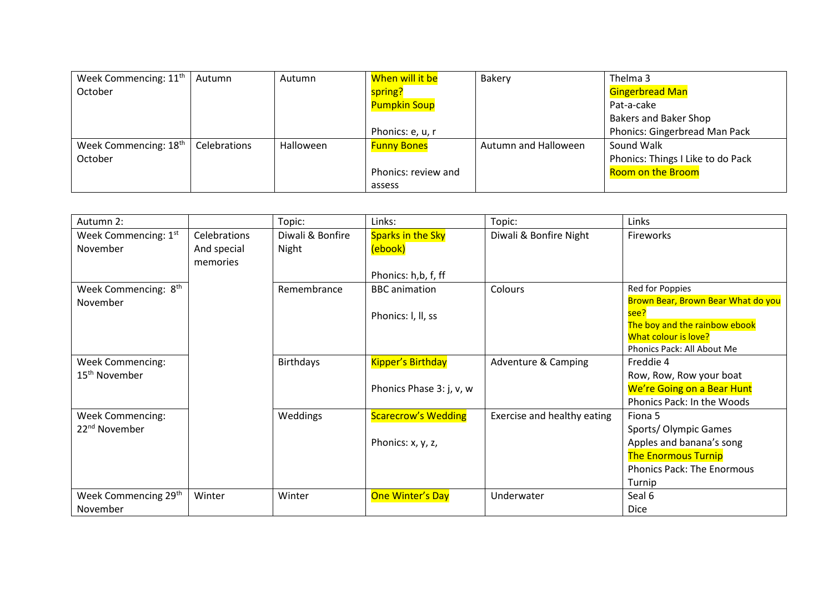| Week Commencing: 11 <sup>th</sup> | Autumn       | Autumn    | When will it be     | Bakery               | Thelma 3                          |
|-----------------------------------|--------------|-----------|---------------------|----------------------|-----------------------------------|
| October                           |              |           | spring?             |                      | <b>Gingerbread Man</b>            |
|                                   |              |           | <b>Pumpkin Soup</b> |                      | Pat-a-cake                        |
|                                   |              |           |                     |                      | <b>Bakers and Baker Shop</b>      |
|                                   |              |           | Phonics: e, u, r    |                      | Phonics: Gingerbread Man Pack     |
| Week Commencing: 18 <sup>th</sup> | Celebrations | Halloween | <b>Funny Bones</b>  | Autumn and Halloween | Sound Walk                        |
| October                           |              |           |                     |                      | Phonics: Things I Like to do Pack |
|                                   |              |           | Phonics: review and |                      | <b>Room on the Broom</b>          |
|                                   |              |           | assess              |                      |                                   |

| Autumn 2:                                            |                                         | Topic:                    | Links:                                               | Topic:                      | Links                                                                                                                                                |
|------------------------------------------------------|-----------------------------------------|---------------------------|------------------------------------------------------|-----------------------------|------------------------------------------------------------------------------------------------------------------------------------------------------|
| Week Commencing: 1st<br>November                     | Celebrations<br>And special<br>memories | Diwali & Bonfire<br>Night | Sparks in the Sky<br>(ebook)<br>Phonics: h,b, f, ff  | Diwali & Bonfire Night      | Fireworks                                                                                                                                            |
| Week Commencing: 8 <sup>th</sup><br>November         |                                         | Remembrance               | <b>BBC</b> animation<br>Phonics: I, II, ss           | Colours                     | Red for Poppies<br>Brown Bear, Brown Bear What do you<br>see?<br>The boy and the rainbow ebook<br>What colour is love?<br>Phonics Pack: All About Me |
| <b>Week Commencing:</b><br>15 <sup>th</sup> November |                                         | <b>Birthdays</b>          | <b>Kipper's Birthday</b><br>Phonics Phase 3: j, v, w | Adventure & Camping         | Freddie 4<br>Row, Row, Row your boat<br>We're Going on a Bear Hunt<br>Phonics Pack: In the Woods                                                     |
| <b>Week Commencing:</b><br>22 <sup>nd</sup> November |                                         | Weddings                  | <b>Scarecrow's Wedding</b><br>Phonics: x, y, z,      | Exercise and healthy eating | Fiona 5<br>Sports/Olympic Games<br>Apples and banana's song<br><b>The Enormous Turnip</b><br><b>Phonics Pack: The Enormous</b><br>Turnip             |
| Week Commencing 29th<br>November                     | Winter                                  | Winter                    | <b>One Winter's Day</b>                              | Underwater                  | Seal 6<br><b>Dice</b>                                                                                                                                |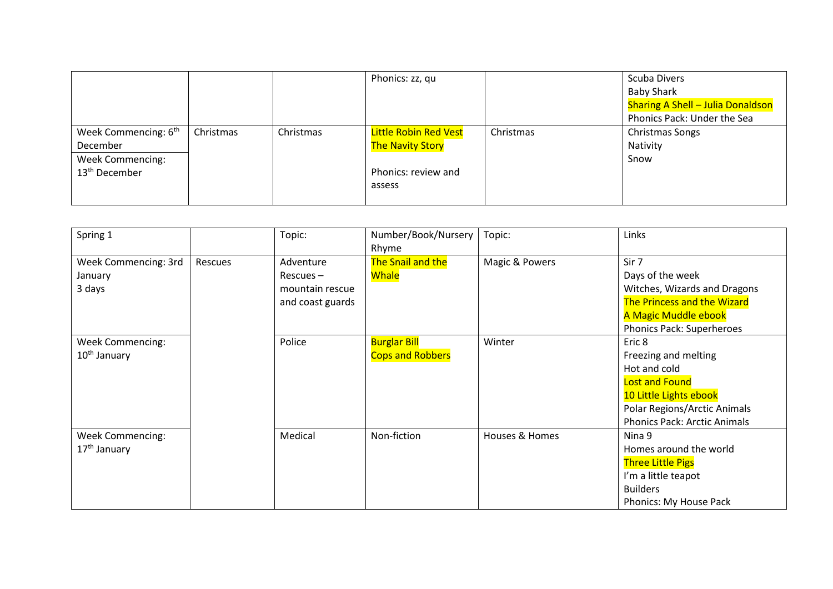|                                                                                                      |           |           | Phonics: zz, qu                                                                          |           | <b>Scuba Divers</b><br><b>Baby Shark</b><br><b>Sharing A Shell - Julia Donaldson</b><br>Phonics Pack: Under the Sea |
|------------------------------------------------------------------------------------------------------|-----------|-----------|------------------------------------------------------------------------------------------|-----------|---------------------------------------------------------------------------------------------------------------------|
| Week Commencing: 6 <sup>th</sup><br>December<br><b>Week Commencing:</b><br>13 <sup>th</sup> December | Christmas | Christmas | <b>Little Robin Red Vest</b><br><b>The Navity Story</b><br>Phonics: review and<br>assess | Christmas | <b>Christmas Songs</b><br>Nativity<br>Snow                                                                          |

| Spring 1                 |         | Topic:           | Number/Book/Nursery<br>Rhyme | Topic:         | Links                               |
|--------------------------|---------|------------------|------------------------------|----------------|-------------------------------------|
| Week Commencing: 3rd     | Rescues | Adventure        | The Snail and the            | Magic & Powers | Sir 7                               |
| January                  |         | $Rescues -$      | <b>Whale</b>                 |                | Days of the week                    |
| 3 days                   |         | mountain rescue  |                              |                | Witches, Wizards and Dragons        |
|                          |         | and coast guards |                              |                | The Princess and the Wizard         |
|                          |         |                  |                              |                | A Magic Muddle ebook                |
|                          |         |                  |                              |                | <b>Phonics Pack: Superheroes</b>    |
| <b>Week Commencing:</b>  |         | Police           | <b>Burglar Bill</b>          | Winter         | Eric 8                              |
| 10 <sup>th</sup> January |         |                  | <b>Cops and Robbers</b>      |                | Freezing and melting                |
|                          |         |                  |                              |                | Hot and cold                        |
|                          |         |                  |                              |                | <b>Lost and Found</b>               |
|                          |         |                  |                              |                | 10 Little Lights ebook              |
|                          |         |                  |                              |                | Polar Regions/Arctic Animals        |
|                          |         |                  |                              |                | <b>Phonics Pack: Arctic Animals</b> |
| <b>Week Commencing:</b>  |         | Medical          | Non-fiction                  | Houses & Homes | Nina 9                              |
| $17th$ January           |         |                  |                              |                | Homes around the world              |
|                          |         |                  |                              |                | <b>Three Little Pigs</b>            |
|                          |         |                  |                              |                | I'm a little teapot                 |
|                          |         |                  |                              |                | <b>Builders</b>                     |
|                          |         |                  |                              |                | Phonics: My House Pack              |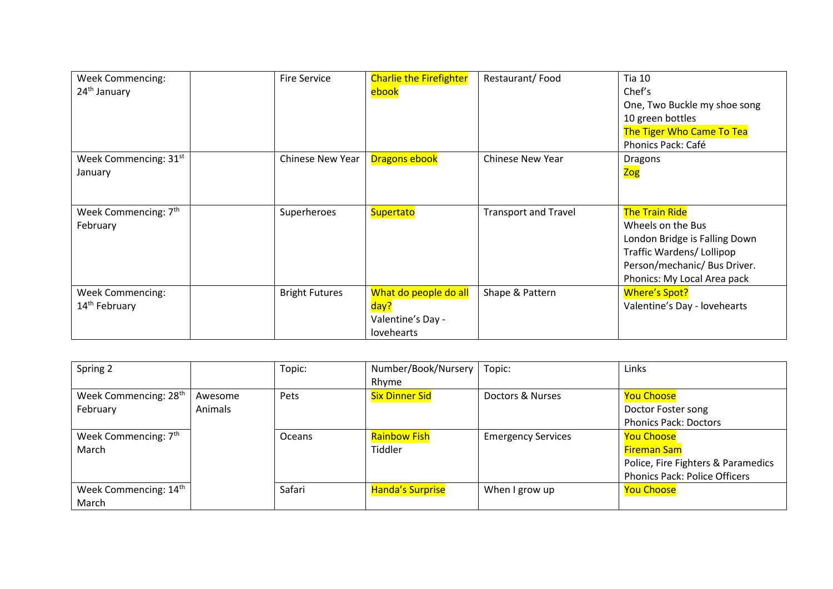| <b>Week Commencing:</b><br>24 <sup>th</sup> January  | <b>Fire Service</b>   | <b>Charlie the Firefighter</b><br>ebook                          | Restaurant/Food             | <b>Tia 10</b><br>Chef's<br>One, Two Buckle my shoe song<br>10 green bottles<br>The Tiger Who Came To Tea<br>Phonics Pack: Café                                         |
|------------------------------------------------------|-----------------------|------------------------------------------------------------------|-----------------------------|------------------------------------------------------------------------------------------------------------------------------------------------------------------------|
| Week Commencing: 31st<br>January                     | Chinese New Year      | <b>Dragons ebook</b>                                             | <b>Chinese New Year</b>     | <b>Dragons</b><br><mark>Zog</mark>                                                                                                                                     |
| Week Commencing: 7 <sup>th</sup><br>February         | Superheroes           | Supertato                                                        | <b>Transport and Travel</b> | <b>The Train Ride</b><br>Wheels on the Bus<br>London Bridge is Falling Down<br>Traffic Wardens/Lollipop<br>Person/mechanic/ Bus Driver.<br>Phonics: My Local Area pack |
| <b>Week Commencing:</b><br>14 <sup>th</sup> February | <b>Bright Futures</b> | What do people do all<br>day?<br>Valentine's Day -<br>lovehearts | Shape & Pattern             | Where's Spot?<br>Valentine's Day - lovehearts                                                                                                                          |

| Spring 2                          |         | Topic: | Number/Book/Nursery     | Topic:                    | Links                                |
|-----------------------------------|---------|--------|-------------------------|---------------------------|--------------------------------------|
|                                   |         |        | Rhyme                   |                           |                                      |
| Week Commencing: 28 <sup>th</sup> | Awesome | Pets   | <b>Six Dinner Sid</b>   | Doctors & Nurses          | <b>You Choose</b>                    |
| February                          | Animals |        |                         |                           | Doctor Foster song                   |
|                                   |         |        |                         |                           | <b>Phonics Pack: Doctors</b>         |
| Week Commencing: 7 <sup>th</sup>  |         | Oceans | <b>Rainbow Fish</b>     | <b>Emergency Services</b> | <b>You Choose</b>                    |
| March                             |         |        | Tiddler                 |                           | <b>Fireman Sam</b>                   |
|                                   |         |        |                         |                           | Police, Fire Fighters & Paramedics   |
|                                   |         |        |                         |                           | <b>Phonics Pack: Police Officers</b> |
| Week Commencing: 14th             |         | Safari | <b>Handa's Surprise</b> | When I grow up            | <b>You Choose</b>                    |
| March                             |         |        |                         |                           |                                      |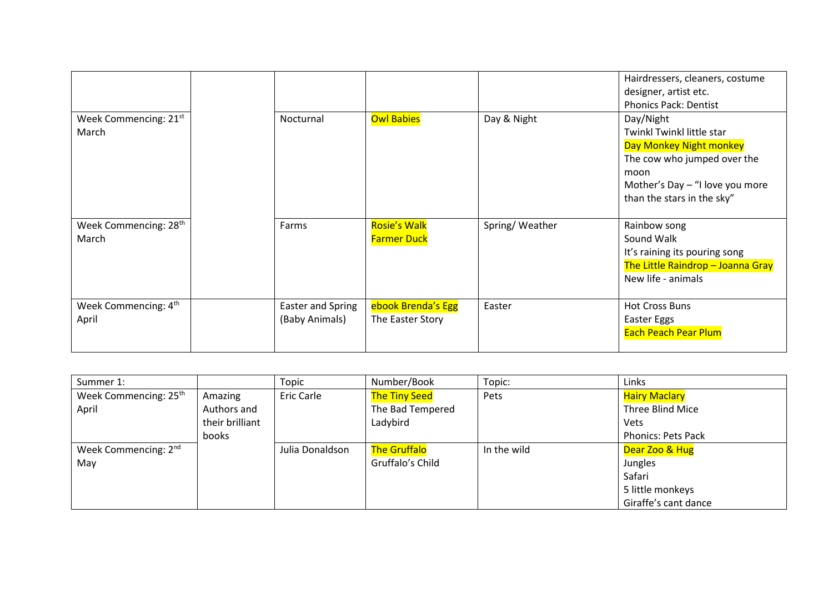|                                            |                                     |                                           |                | Hairdressers, cleaners, costume<br>designer, artist etc.<br><b>Phonics Pack: Dentist</b>                                                                                  |
|--------------------------------------------|-------------------------------------|-------------------------------------------|----------------|---------------------------------------------------------------------------------------------------------------------------------------------------------------------------|
| Week Commencing: 21 <sup>st</sup><br>March | Nocturnal                           | <b>Owl Babies</b>                         | Day & Night    | Day/Night<br>Twinkl Twinkl little star<br>Day Monkey Night monkey<br>The cow who jumped over the<br>moon<br>Mother's Day - "I love you more<br>than the stars in the sky" |
| Week Commencing: 28 <sup>th</sup><br>March | Farms                               | <b>Rosie's Walk</b><br><b>Farmer Duck</b> | Spring/Weather | Rainbow song<br>Sound Walk<br>It's raining its pouring song<br>The Little Raindrop - Joanna Gray<br>New life - animals                                                    |
| Week Commencing: 4th<br>April              | Easter and Spring<br>(Baby Animals) | ebook Brenda's Egg<br>The Easter Story    | Easter         | <b>Hot Cross Buns</b><br>Easter Eggs<br><b>Each Peach Pear Plum</b>                                                                                                       |

| Summer 1:                         |                 | Topic           | Number/Book          | Topic:      | Links                     |
|-----------------------------------|-----------------|-----------------|----------------------|-------------|---------------------------|
| Week Commencing: 25 <sup>th</sup> | Amazing         | Eric Carle      | <b>The Tiny Seed</b> | Pets        | <b>Hairy Maclary</b>      |
| April                             | Authors and     |                 | The Bad Tempered     |             | Three Blind Mice          |
|                                   | their brilliant |                 | Ladybird             |             | Vets                      |
|                                   | books           |                 |                      |             | <b>Phonics: Pets Pack</b> |
| Week Commencing: 2 <sup>nd</sup>  |                 | Julia Donaldson | <b>The Gruffalo</b>  | In the wild | Dear Zoo & Hug            |
| May                               |                 |                 | Gruffalo's Child     |             | Jungles                   |
|                                   |                 |                 |                      |             | Safari                    |
|                                   |                 |                 |                      |             | 5 little monkeys          |
|                                   |                 |                 |                      |             | Giraffe's cant dance      |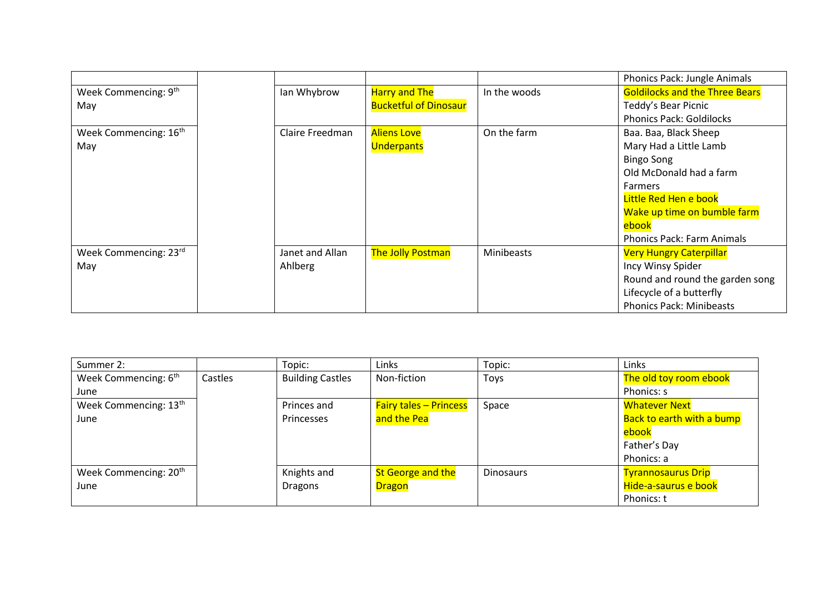|                                   |                 |                              |                   | Phonics Pack: Jungle Animals          |
|-----------------------------------|-----------------|------------------------------|-------------------|---------------------------------------|
| Week Commencing: 9th              | Ian Whybrow     | <b>Harry and The</b>         | In the woods      | <b>Goldilocks and the Three Bears</b> |
| May                               |                 | <b>Bucketful of Dinosaur</b> |                   | Teddy's Bear Picnic                   |
|                                   |                 |                              |                   | <b>Phonics Pack: Goldilocks</b>       |
| Week Commencing: 16 <sup>th</sup> | Claire Freedman | <b>Aliens Love</b>           | On the farm       | Baa. Baa, Black Sheep                 |
| May                               |                 | Underpants                   |                   | Mary Had a Little Lamb                |
|                                   |                 |                              |                   | <b>Bingo Song</b>                     |
|                                   |                 |                              |                   | Old McDonald had a farm               |
|                                   |                 |                              |                   | Farmers                               |
|                                   |                 |                              |                   | Little Red Hen e book                 |
|                                   |                 |                              |                   | Wake up time on bumble farm           |
|                                   |                 |                              |                   | ebook                                 |
|                                   |                 |                              |                   | <b>Phonics Pack: Farm Animals</b>     |
| Week Commencing: 23rd             | Janet and Allan | <b>The Jolly Postman</b>     | <b>Minibeasts</b> | <b>Very Hungry Caterpillar</b>        |
| May                               | Ahlberg         |                              |                   | Incy Winsy Spider                     |
|                                   |                 |                              |                   | Round and round the garden song       |
|                                   |                 |                              |                   | Lifecycle of a butterfly              |
|                                   |                 |                              |                   | <b>Phonics Pack: Minibeasts</b>       |

| Summer 2:                         |         | Topic:                  | Links                         | Topic:           | Links                     |
|-----------------------------------|---------|-------------------------|-------------------------------|------------------|---------------------------|
| Week Commencing: 6 <sup>th</sup>  | Castles | <b>Building Castles</b> | Non-fiction                   | Toys             | The old toy room ebook    |
| June                              |         |                         |                               |                  | Phonics: s                |
| Week Commencing: 13 <sup>th</sup> |         | Princes and             | <b>Fairy tales - Princess</b> | Space            | <b>Whatever Next</b>      |
| June                              |         | Princesses              | and the Pea                   |                  | Back to earth with a bump |
|                                   |         |                         |                               |                  | ebook                     |
|                                   |         |                         |                               |                  | Father's Day              |
|                                   |         |                         |                               |                  | Phonics: a                |
| Week Commencing: 20 <sup>th</sup> |         | Knights and             | <b>St George and the</b>      | <b>Dinosaurs</b> | <b>Tyrannosaurus Drip</b> |
| June                              |         | <b>Dragons</b>          | <b>Dragon</b>                 |                  | Hide-a-saurus e book      |
|                                   |         |                         |                               |                  | Phonics: t                |